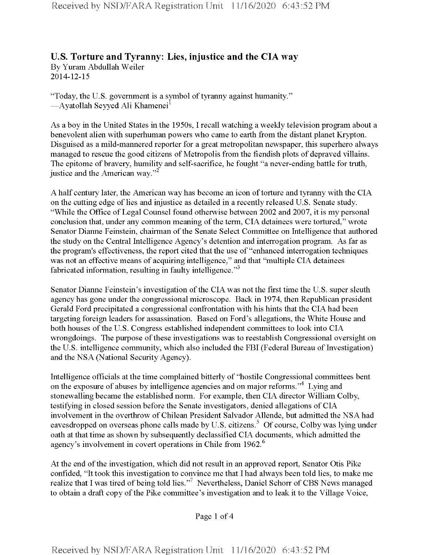## **U.S. Torture and Tyranny: Lies, injustice and the CIA way** By Yuram Abdullah Weiler

2014-12-15

"Today, the U.S. government is a symbol of tyranny against humanity." —Ayatollah Seyyed Ali Khamenei<sup>1</sup>

As a boy in the United States in the 1950s, I recall watching a weekly television program about a benevolent alien with superhuman powers who came to earth from the distant planet Krypton. Disguised as a mild-mannered reporter for a great metropolitan newspaper, this superhero always managed to rescue the good citizens of Metropolis from the fiendish plots of depraved villains. The epitome of bravery, humility and self-sacrifice, he fought "a never-ending battle for truth, justice and the American way."<sup>2</sup>

A half century later, the American way has become an icon of torture and tyranny with the CIA on the cutting edge of lies and injustice as detailed in a recently released U.S. Senate study. "While the Office of Legal Counsel found otherwise between 2002 and 2007, it is my personal conclusion that, under any common meaning of the term, CIA detainees were tortured," wrote Senator Dianne Feinstein, chairman of the Senate Select Committee on Intelligence that authored the study on the Central Intelligence Agency's detention and interrogation program. As far as the program's effectiveness, the report cited that the use of "enhanced interrogation techniques was not an effective means of acquiring intelligence," and that "multiple CIA detainees fabricated information, resulting in faulty intelligence."<sup>3</sup>

Senator Dianne Feinstein's investigation of the CIA was not the first time the U.S. super sleuth agency has gone under the congressional microscope. Back in 1974, then Republican president Gerald Ford precipitated a congressional confrontation with his hints that the CIA had been targeting foreign leaders for assassination. Based on Ford's allegations, the White House and both houses ofthe U.S. Congress established independent committees to look into CIA wrongdoings. The purpose of these investigations was to reestablish Congressional oversight on the U.S. intelligence community, which also included the FBI (Federal Bureau of Investigation) and the NSA (National Security Agency).

Intelligence officials at the time complained bitterly of "hostile Congressional committees bent on the exposure of abuses by intelligence agencies and on major reforms.<sup>34</sup> Lying and stonewalling became the established norm. For example, then CIA director William Colby, testifying in closed session before the Senate investigators, denied allegations ofCIA involvement in the overthrow of Chilean President Salvador Allende, but admitted the NSA had eavesdropped on overseas phone calls made by U.S. citizens.<sup>5</sup> Of course, Colby was lying under oath at that time as shown by subsequently declassified CIA documents, which admitted the agency's involvement in covert operations in Chile from 1962.<sup>6</sup>

At the end of the investigation, which did not result in an approved report, Senator Otis Pike confided, "It took this investigation to convince me that I had always been told lies, to make me realize that I was tired of being told lies."<sup>7</sup> Nevertheless, Daniel Schorr of CBS News managed to obtain a draft copy of the Pike committee's investigation and to leak it to the Village Voice,

Page <sup>1</sup> of 4

Received by NSD/FARA Registration Unit 11/16/2020 6:43:52 PM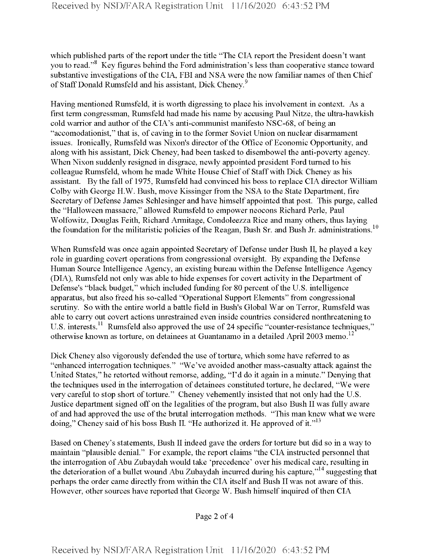which published parts of the report under the title "The CIA report the President doesn't want you to read."<sup>8</sup> Key figures behind the Ford administration's less than cooperative stance toward substantive investigations of the CIA, FBI and NSA were the now familiar names of then Chief of Staff Donald Rumsfeld and his assistant, Dick Cheney.<sup>9</sup>

Having mentioned Rumsfeld, it is worth digressing to place his involvement in context. As a first term congressman, Rumsfeld had made his name by accusing Paul Nitze, the ultra-hawkish cold warrior and author of the CIA's anti-communist manifesto NSC-68, of being an "accomodationist," that is, of caving in to the former Soviet Union on nuclear disarmament issues. Ironically, Rumsfeld was Nixon's director of the Office of Economic Opportunity, and along with his assistant, Dick Cheney, had been tasked to disembowel the anti-poverty agency. When Nixon suddenly resigned in disgrace, newly appointed president Ford turned to his colleague Rumsfeld, whom he made White House Chief of Staffwith Dick Cheney as his assistant. By the fall of 1975, Rumsfeld had convinced his boss to replace CIA director William Colby with George H.W. Bush, move Kissinger from the NSA to the State Department, fire Secretary of Defense James Schlesinger and have himself appointed that post. This purge, called the "Halloween massacre," allowed Rumsfeld to empower neocons Richard Perle, Paul Wolfowitz, Douglas Feith, Richard Armitage, Condoleezza Rice and many others, thus laying the foundation for the militaristic policies of the Reagan, Bush Sr. and Bush Jr. administrations.<sup>10</sup>

When Rumsfeld was once again appointed Secretary of Defense under Bush II, he played a key role in guarding covert operations from congressional oversight. By expanding the Defense Human Source Intelligence Agency, an existing bureau within the Defense Intelligence Agency (DIA), Rumsfeld not only was able to hide expenses for covert activity in the Department of Defense's "black budget," which included funding for 80 percent of the U.S. intelligence apparatus, but also freed his so-called "Operational Support Elements" from congressional scrutiny. So with the entire world a battle field in Bush's Global War on Terror, Rumsfeld was able to carry out covert actions unrestrained even inside countries considered nonthreatening to U.S. interests.<sup>11</sup> Rumsfeld also approved the use of 24 specific "counter-resistance techniques," otherwise known as torture, on detainees at Guantanamo in a detailed April 2003 memo.<sup>12</sup>

Dick Cheney also vigorously defended the use of torture, which some have referred to as "enhanced interrogation techniques." "We've avoided another mass-casualty attack against the United States," he retorted without remorse, adding, "I'd do it again in a minute." Denying that the techniques used in the interrogation of detainees constituted torture, he declared, "We were very careful to stop short of torture." Cheney vehemently insisted that not only had the U.S. Justice department signed off on the legalities of the program, but also Bush II was fully aware of and had approved the use of the brutal interrogation methods. "This man knew what we were doing," Cheney said of his boss Bush II. "He authorized it. He approved of it." $13$ 

Based on Cheney's statements, Bush II indeed gave the orders for torture but did so in a way to maintain "plausible denial." For example, the report claims "the CIA instructed personnel that the interrogation of Abu Zubaydah would take 'precedence' over his medical care, resulting in the deterioration of a bullet wound Abu Zubaydah incurred during his capture,"14 suggesting that perhaps the order came directly from within the CIA itself and Bush II was not aware of this. However, other sources have reported that George W. Bush himself inquired ofthen CIA

Page 2 of 4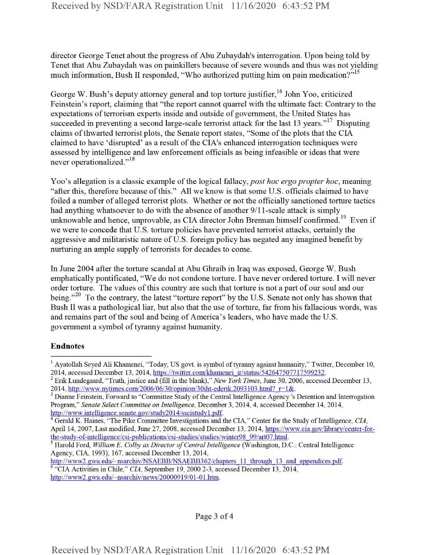director George Tenet about the progress of Abu Zubaydah's interrogation. Upon being told by Tenet that Abu Zubaydah was on painkillers because of severe wounds and thus was not yielding much information, Bush II responded, "Who authorized putting him on pain medication?"<sup>15</sup>

George W. Bush's deputy attorney general and top torture justifier,  $16$  John Yoo, criticized Feinstein's report, claiming that "the report cannot quarrel with the ultimate fact: Contrary to the expectations of terrorism experts inside and outside of government, the United States has succeeded in preventing a second large-scale terrorist attack for the last 13 years."<sup>17</sup> Disputing claims of thwarted terrorist plots, the Senate report states, "Some of the plots that the CIA claimed to have 'disrupted' as a result of the CIA's enhanced interrogation techniques were assessed by intelligence and law enforcement officials as being infeasible or ideas that were never operationalized."<sup>18</sup>

Yoo's allegation is a classic example of the logical fallacy, *post hoc ergo propter hoc*, meaning "after this, therefore because of this." All we know is that some U.S. officials claimed to have foiled a number of alleged terrorist plots. Whether or not the officially sanctioned torture tactics had anything whatsoever to do with the absence of another 9/11-scale attack is simply unknowable and hence, unprovable, as CIA director John Brennan himself confirmed.<sup>19</sup> Even if we were to concede that U.S. torture policies have prevented terrorist attacks, certainly the aggressive and militaristic nature of U.S. foreign policy has negated any imagined benefit by nurturing an ample supply of terrorists for decades to come.

In June 2004 after the torture scandal at Abu Ghraib in Iraq was exposed, George W. Bush emphatically pontificated, "We do not condone torture. I have never ordered torture. I will never order torture. The values of this country are such that torture is not a part of our soul and our being."<sup>20</sup> To the contrary, the latest "torture report" by the U.S. Senate not only has shown that Bush II was a pathological liar, but also that the use of torture, far from his fallacious words, was and remains part of the soul and being of America's leaders, who have made the U.S. government a symbol of tyranny against humanity.

## Endnotes

<sup>&</sup>lt;sup>1</sup> Ayatollah Seyed Ali Khamenei, "Today, US govt, is symbol of tyranny against humanity," Twitter, December 10, 2014, accessed December 13, 2014, https://twitter.com/khamenei\_ir/status/542647507717599232.

<sup>2</sup> Erik Lundegaard, "Truth, justice and (fill in the blank)," *New York Times,* June 30, 2006, accessed December 13, 2014, http://www.nytimes.com/2006/06/30/opinion/30iht-ederik.2093103.html?\_r=l&.

<sup>&</sup>lt;sup>3</sup> Dianne Feinstein, Forward to "Committee Study of the Central Intelligence Agency's Detention and Interrogation Program," *Seriate Select Committee on Intelligence,* December 3, 2014, 4, accessed December 14, 2014, http://www.intelligence.senate.gov/studv2014/sscistudvl.pdf.

Gerald K. Haines, "The Pike Committee Investigations and the CIA," Center for the Study of Intelligence, *CIA*, April 14, 2007, Last modified, June 27, 2008, accessed December 13, 2014, https://www.cia.gov/library/center-forthe-study-of-intelligence/csi-publications/csi-studies/studies/winter98 99/art07.html.

<sup>5</sup> Harold Ford, *William E. Colby as Director ofCentralIntelligence* (Washington, D.C.: Central Intelligence Agency, CIA, 1993), 167, accessed December 13, 2014,

http://www2.gwu.edu/~nsarchiv/NSAEBB/NSAEBB362/chapters 11 through 13 and appendices.pdf. *<sup>6</sup>* "CIA Activities in Chile," *CIA,* September 19, 2000 2-3, accessed December 13, 2014, http://www2.gwu.edu/~nsarchiv/news/20000919/01-01.htm.